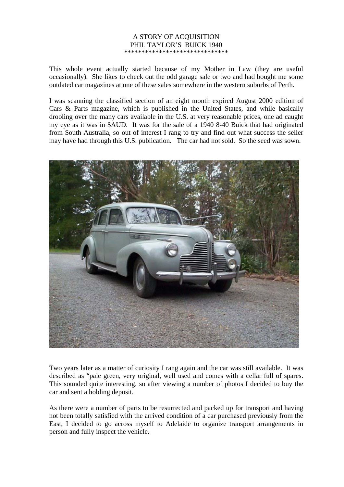## A STORY OF ACQUISITION PHIL TAYLOR'S BUICK 1940 \*\*\*\*\*\*\*\*\*\*\*\*\*\*\*\*\*\*\*\*\*\*\*\*\*\*\*\*\*\*

This whole event actually started because of my Mother in Law (they are useful occasionally). She likes to check out the odd garage sale or two and had bought me some outdated car magazines at one of these sales somewhere in the western suburbs of Perth.

I was scanning the classified section of an eight month expired August 2000 edition of Cars & Parts magazine, which is published in the United States, and while basically drooling over the many cars available in the U.S. at very reasonable prices, one ad caught my eye as it was in \$AUD. It was for the sale of a 1940 8-40 Buick that had originated from South Australia, so out of interest I rang to try and find out what success the seller may have had through this U.S. publication. The car had not sold. So the seed was sown.



Two years later as a matter of curiosity I rang again and the car was still available. It was described as "pale green, very original, well used and comes with a cellar full of spares. This sounded quite interesting, so after viewing a number of photos I decided to buy the car and sent a holding deposit.

As there were a number of parts to be resurrected and packed up for transport and having not been totally satisfied with the arrived condition of a car purchased previously from the East, I decided to go across myself to Adelaide to organize transport arrangements in person and fully inspect the vehicle.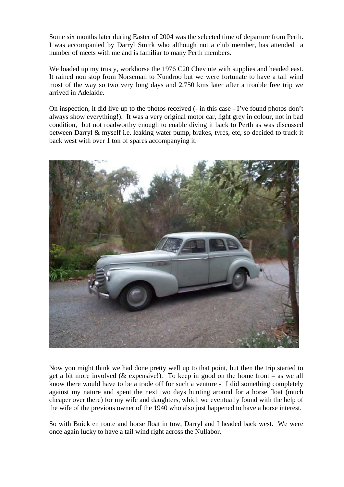Some six months later during Easter of 2004 was the selected time of departure from Perth. I was accompanied by Darryl Smirk who although not a club member, has attended a number of meets with me and is familiar to many Perth members.

We loaded up my trusty, workhorse the 1976 C20 Chev ute with supplies and headed east. It rained non stop from Norseman to Nundroo but we were fortunate to have a tail wind most of the way so two very long days and 2,750 kms later after a trouble free trip we arrived in Adelaide.

On inspection, it did live up to the photos received (- in this case - I've found photos don't always show everything!). It was a very original motor car, light grey in colour, not in bad condition, but not roadworthy enough to enable diving it back to Perth as was discussed between Darryl & myself i.e. leaking water pump, brakes, tyres, etc, so decided to truck it back west with over 1 ton of spares accompanying it.



Now you might think we had done pretty well up to that point, but then the trip started to get a bit more involved (& expensive!). To keep in good on the home front – as we all know there would have to be a trade off for such a venture - I did something completely against my nature and spent the next two days hunting around for a horse float (much cheaper over there) for my wife and daughters, which we eventually found with the help of the wife of the previous owner of the 1940 who also just happened to have a horse interest.

So with Buick en route and horse float in tow, Darryl and I headed back west. We were once again lucky to have a tail wind right across the Nullabor.